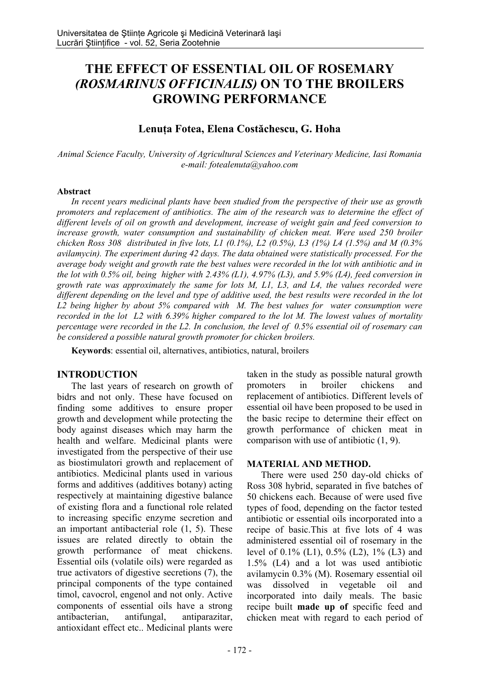# **THE EFFECT OF ESSENTIAL OIL OF ROSEMARY**  *(ROSMARINUS OFFICINALIS)* **ON TO THE BROILERS GROWING PERFORMANCE**

# **Lenuţa Fotea, Elena Costăchescu, G. Hoha**

*Animal Science Faculty, University of Agricultural Sciences and Veterinary Medicine, Iasi Romania e-mail: fotealenuta@yahoo.com* 

#### **Abstract**

*In recent years medicinal plants have been studied from the perspective of their use as growth promoters and replacement of antibiotics. The aim of the research was to determine the effect of different levels of oil on growth and development, increase of weight gain and feed conversion to*  increase growth, water consumption and sustainability of chicken meat. Were used 250 broiler *chicken Ross 308 distributed in five lots, L1 (0.1%), L2 (0.5%), L3 (1%) L4 (1.5%) and M (0.3% avilamycin). The experiment during 42 days. The data obtained were statistically processed. For the average body weight and growth rate the best values were recorded in the lot with antibiotic and in the lot with 0.5% oil, being higher with 2.43% (L1), 4.97% (L3), and 5.9% (L4), feed conversion in growth rate was approximately the same for lots M, L1, L3, and L4, the values recorded were different depending on the level and type of additive used, the best results were recorded in the lot L2 being higher by about 5% compared with M. The best values for water consumption were recorded in the lot L2 with 6.39% higher compared to the lot M. The lowest values of mortality percentage were recorded in the L2. In conclusion, the level of 0.5% essential oil of rosemary can be considered a possible natural growth promoter for chicken broilers.*

**Keywords**: essential oil, alternatives, antibiotics, natural, broilers

## **INTRODUCTION**

The last years of research on growth of bidrs and not only. These have focused on finding some additives to ensure proper growth and development while protecting the body against diseases which may harm the health and welfare. Medicinal plants were investigated from the perspective of their use as biostimulatori growth and replacement of antibiotics. Medicinal plants used in various forms and additives (additives botany) acting respectively at maintaining digestive balance of existing flora and a functional role related to increasing specific enzyme secretion and an important antibacterial role (1, 5). These issues are related directly to obtain the growth performance of meat chickens. Essential oils (volatile oils) were regarded as true activators of digestive secretions (7), the principal components of the type contained timol, cavocrol, engenol and not only. Active components of essential oils have a strong antibacterian, antifungal, antiparazitar, antioxidant effect etc.. Medicinal plants were

taken in the study as possible natural growth promoters in broiler chickens and replacement of antibiotics. Different levels of essential oil have been proposed to be used in the basic recipe to determine their effect on growth performance of chicken meat in comparison with use of antibiotic (1, 9).

## **MATERIAL AND METHOD.**

There were used 250 day-old chicks of Ross 308 hybrid, separated in five batches of 50 chickens each. Because of were used five types of food, depending on the factor tested antibiotic or essential oils incorporated into a recipe of basic.This at five lots of 4 was administered essential oil of rosemary in the level of 0.1% (L1), 0.5% (L2), 1% (L3) and 1.5% (L4) and a lot was used antibiotic avilamycin 0.3% (M). Rosemary essential oil was dissolved in vegetable oil and incorporated into daily meals. The basic recipe built **made up of** specific feed and chicken meat with regard to each period of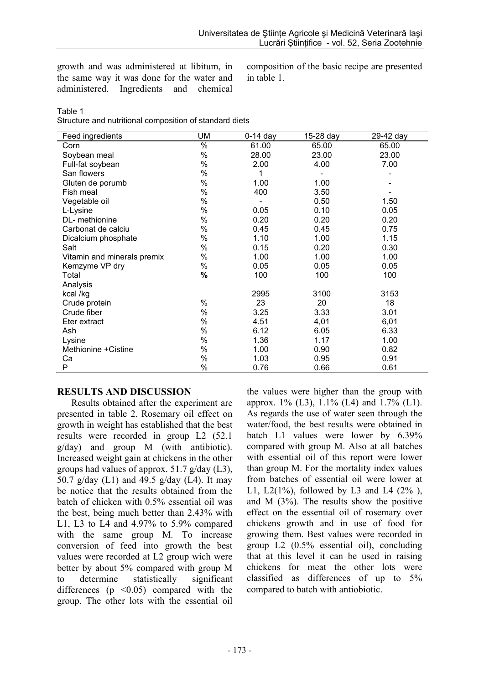growth and was administered at libitum, in the same way it was done for the water and administered. Ingredients and chemical composition of the basic recipe are presented in table 1.

## Table 1

Structure and nutritional composition of standard diets

| Feed ingredients            | <b>UM</b> | $0-14$ day | 15-28 day | 29-42 day |  |
|-----------------------------|-----------|------------|-----------|-----------|--|
| Corn                        | %         | 61.00      | 65.00     | 65.00     |  |
| Soybean meal                | %         | 28.00      | 23.00     | 23.00     |  |
| Full-fat soybean            | %         | 2.00       | 4.00      | 7.00      |  |
| San flowers                 | %         | 1          |           |           |  |
| Gluten de porumb            | %         | 1.00       | 1.00      |           |  |
| Fish meal                   | %         | 400        | 3.50      |           |  |
| Vegetable oil               | %         |            | 0.50      | 1.50      |  |
| L-Lysine                    | %         | 0.05       | 0.10      | 0.05      |  |
| DL- methionine              | %         | 0.20       | 0.20      | 0.20      |  |
| Carbonat de calciu          | %         | 0.45       | 0.45      | 0.75      |  |
| Dicalcium phosphate         | %         | 1.10       | 1.00      | 1.15      |  |
| Salt                        | %         | 0.15       | 0.20      | 0.30      |  |
| Vitamin and minerals premix | %         | 1.00       | 1.00      | 1.00      |  |
| Kemzyme VP dry              | %         | 0.05       | 0.05      | 0.05      |  |
| Total                       | %         | 100        | 100       | 100       |  |
| Analysis                    |           |            |           |           |  |
| kcal /kg                    |           | 2995       | 3100      | 3153      |  |
| Crude protein               | $\%$      | 23         | 20        | 18        |  |
| Crude fiber                 | %         | 3.25       | 3.33      | 3.01      |  |
| Eter extract                | %         | 4.51       | 4,01      | 6,01      |  |
| Ash                         | %         | 6.12       | 6.05      | 6.33      |  |
| Lysine                      | %         | 1.36       | 1.17      | 1.00      |  |
| Methionine + Cistine        | %         | 1.00       | 0.90      | 0.82      |  |
| Сa                          | %         | 1.03       | 0.95      | 0.91      |  |
| P                           | %         | 0.76       | 0.66      | 0.61      |  |

## **RESULTS AND DISCUSSION**

Results obtained after the experiment are presented in table 2. Rosemary oil effect on growth in weight has established that the best results were recorded in group L2 (52.1 g/day) and group M (with antibiotic). Increased weight gain at chickens in the other groups had values of approx. 51.7 g/day (L3), 50.7 g/day  $(L1)$  and 49.5 g/day  $(L4)$ . It may be notice that the results obtained from the batch of chicken with 0.5% essential oil was the best, being much better than 2.43% with L1, L3 to L4 and 4.97% to 5.9% compared with the same group M. To increase conversion of feed into growth the best values were recorded at L2 group wich were better by about 5% compared with group M to determine statistically significant differences ( $p \leq 0.05$ ) compared with the group. The other lots with the essential oil

the values were higher than the group with approx. 1% (L3), 1.1% (L4) and 1.7% (L1). As regards the use of water seen through the water/food, the best results were obtained in batch L1 values were lower by 6.39% compared with group M. Also at all batches with essential oil of this report were lower than group M. For the mortality index values from batches of essential oil were lower at L1, L2(1%), followed by L3 and L4 (2%), and M (3%). The results show the positive effect on the essential oil of rosemary over chickens growth and in use of food for growing them. Best values were recorded in group L2 (0.5% essential oil), concluding that at this level it can be used in raising chickens for meat the other lots were classified as differences of up to 5% compared to batch with antiobiotic.